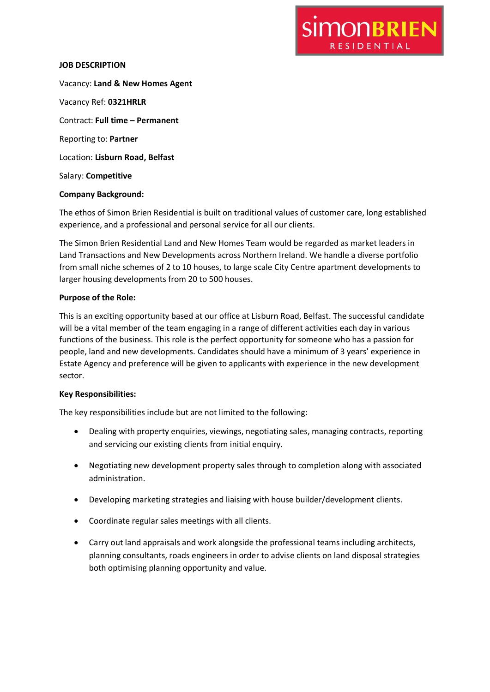### **JOB DESCRIPTION**

Vacancy: **Land & New Homes Agent** Vacancy Ref: **0321HRLR** Contract: **Full time – Permanent** Reporting to: **Partner** Location: **Lisburn Road, Belfast** Salary: **Competitive**

## **Company Background:**

The ethos of Simon Brien Residential is built on traditional values of customer care, long established experience, and a professional and personal service for all our clients.

**SIMONBRIEN** 

**RESIDENTIAL** 

The Simon Brien Residential Land and New Homes Team would be regarded as market leaders in Land Transactions and New Developments across Northern Ireland. We handle a diverse portfolio from small niche schemes of 2 to 10 houses, to large scale City Centre apartment developments to larger housing developments from 20 to 500 houses.

## **Purpose of the Role:**

This is an exciting opportunity based at our office at Lisburn Road, Belfast. The successful candidate will be a vital member of the team engaging in a range of different activities each day in various functions of the business. This role is the perfect opportunity for someone who has a passion for people, land and new developments. Candidates should have a minimum of 3 years' experience in Estate Agency and preference will be given to applicants with experience in the new development sector.

#### **Key Responsibilities:**

The key responsibilities include but are not limited to the following:

- Dealing with property enquiries, viewings, negotiating sales, managing contracts, reporting and servicing our existing clients from initial enquiry.
- Negotiating new development property sales through to completion along with associated administration.
- Developing marketing strategies and liaising with house builder/development clients.
- Coordinate regular sales meetings with all clients.
- Carry out land appraisals and work alongside the professional teams including architects, planning consultants, roads engineers in order to advise clients on land disposal strategies both optimising planning opportunity and value.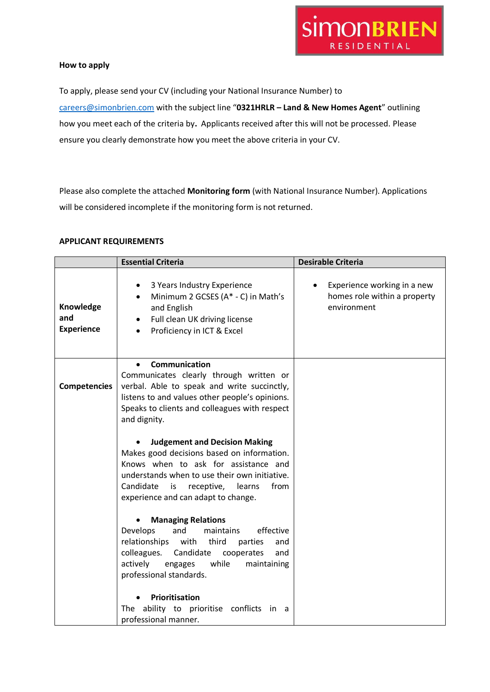

#### **How to apply**

To apply, please send your CV (including your National Insurance Number) to [careers@simonbrien.com](mailto:careers@simonbrien.com) with the subject line "**0321HRLR – Land & New Homes Agent**" outlining how you meet each of the criteria by**.** Applicants received after this will not be processed. Please ensure you clearly demonstrate how you meet the above criteria in your CV.

Please also complete the attached **Monitoring form** (with National Insurance Number). Applications will be considered incomplete if the monitoring form is not returned.

# **APPLICANT REQUIREMENTS**

|                                       | <b>Essential Criteria</b>                                                                                                                                                                                                                                             | <b>Desirable Criteria</b>                                                  |
|---------------------------------------|-----------------------------------------------------------------------------------------------------------------------------------------------------------------------------------------------------------------------------------------------------------------------|----------------------------------------------------------------------------|
| Knowledge<br>and<br><b>Experience</b> | 3 Years Industry Experience<br>٠<br>Minimum 2 GCSES (A* - C) in Math's<br>$\bullet$<br>and English<br>Full clean UK driving license<br>Proficiency in ICT & Excel                                                                                                     | Experience working in a new<br>homes role within a property<br>environment |
| <b>Competencies</b>                   | <b>Communication</b><br>Communicates clearly through written or<br>verbal. Able to speak and write succinctly,<br>listens to and values other people's opinions.<br>Speaks to clients and colleagues with respect<br>and dignity.                                     |                                                                            |
|                                       | <b>Judgement and Decision Making</b><br>Makes good decisions based on information.<br>Knows when to ask for assistance and<br>understands when to use their own initiative.<br>Candidate<br>receptive,<br>from<br>is<br>learns<br>experience and can adapt to change. |                                                                            |
|                                       | <b>Managing Relations</b><br>Develops<br>and<br>maintains<br>effective<br>relationships<br>with<br>third<br>parties<br>and<br>colleagues.<br>Candidate<br>and<br>cooperates<br>actively<br>while<br>maintaining<br>engages<br>professional standards.                 |                                                                            |
|                                       | Prioritisation<br>The ability to prioritise<br>conflicts<br>in a<br>professional manner.                                                                                                                                                                              |                                                                            |